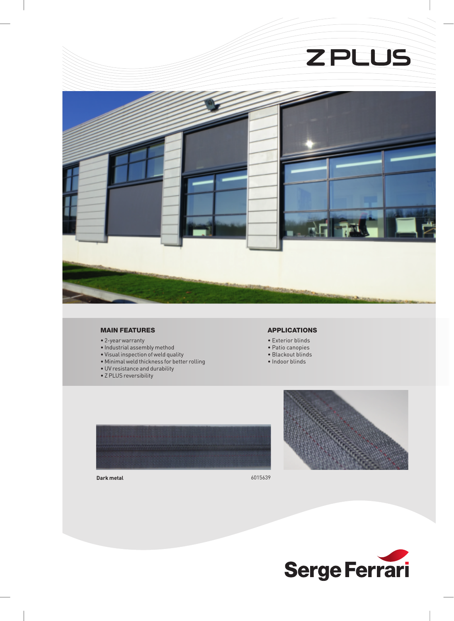

#### MAIN FEATURES

- 2-year warranty
- Industrial assembly method
- Visual inspection of weld quality
- Minimal weld thickness for better rolling
- UV resistance and durability
- Z PLUS reversibility

### APPLICATIONS

- Exterior blinds
- Patio canopies
- Blackout blinds
- Indoor blinds